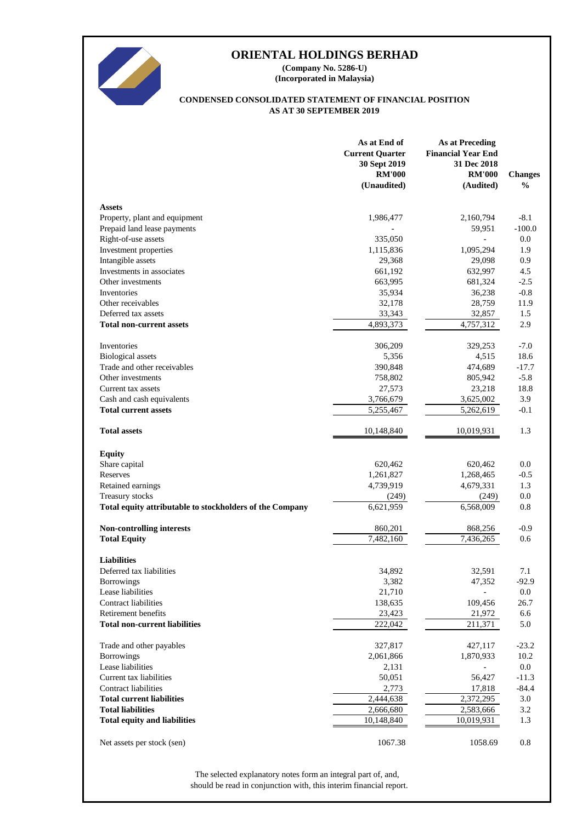

**(Incorporated in Malaysia) (Company No. 5286-U)**

#### **AS AT 30 SEPTEMBER 2019 CONDENSED CONSOLIDATED STATEMENT OF FINANCIAL POSITION**

|                                                          | As at End of<br><b>Current Quarter</b><br>30 Sept 2019<br><b>RM'000</b><br>(Unaudited) | <b>As at Preceding</b><br><b>Financial Year End</b><br>31 Dec 2018<br><b>RM'000</b><br>(Audited) | <b>Changes</b><br>$\%$ |
|----------------------------------------------------------|----------------------------------------------------------------------------------------|--------------------------------------------------------------------------------------------------|------------------------|
| <b>Assets</b>                                            |                                                                                        |                                                                                                  |                        |
| Property, plant and equipment                            | 1,986,477                                                                              | 2,160,794                                                                                        | $-8.1$                 |
| Prepaid land lease payments                              |                                                                                        | 59,951                                                                                           | $-100.0$               |
| Right-of-use assets                                      | 335,050                                                                                |                                                                                                  | 0.0                    |
| Investment properties                                    | 1,115,836                                                                              | 1,095,294                                                                                        | 1.9                    |
| Intangible assets                                        | 29,368                                                                                 | 29,098                                                                                           | 0.9                    |
| Investments in associates                                | 661,192                                                                                | 632,997                                                                                          | 4.5                    |
| Other investments                                        | 663,995                                                                                | 681,324                                                                                          | $-2.5$                 |
| Inventories                                              | 35,934                                                                                 | 36,238                                                                                           | $-0.8$                 |
| Other receivables                                        | 32,178                                                                                 | 28,759                                                                                           | 11.9                   |
| Deferred tax assets                                      | 33,343                                                                                 | 32,857                                                                                           | 1.5                    |
| <b>Total non-current assets</b>                          | 4,893,373                                                                              | 4,757,312                                                                                        | 2.9                    |
| Inventories                                              | 306,209                                                                                | 329,253                                                                                          | $-7.0$                 |
| <b>Biological</b> assets                                 | 5,356                                                                                  | 4,515                                                                                            | 18.6                   |
| Trade and other receivables                              | 390,848                                                                                | 474,689                                                                                          | $-17.7$                |
| Other investments                                        | 758,802                                                                                | 805,942                                                                                          | $-5.8$                 |
| Current tax assets                                       | 27,573                                                                                 | 23,218                                                                                           | 18.8                   |
| Cash and cash equivalents<br><b>Total current assets</b> | 3,766,679                                                                              | 3,625,002                                                                                        | 3.9                    |
|                                                          | 5,255,467                                                                              | 5,262,619                                                                                        | $-0.1$                 |
| <b>Total assets</b>                                      | 10,148,840                                                                             | 10,019,931                                                                                       | 1.3                    |
| <b>Equity</b>                                            |                                                                                        |                                                                                                  |                        |
| Share capital                                            | 620,462                                                                                | 620,462                                                                                          | 0.0                    |
| Reserves                                                 | 1,261,827                                                                              | 1,268,465                                                                                        | $-0.5$                 |
| Retained earnings                                        | 4,739,919                                                                              | 4,679,331                                                                                        | 1.3                    |
| Treasury stocks                                          | (249)                                                                                  | (249)                                                                                            | 0.0                    |
| Total equity attributable to stockholders of the Company | 6,621,959                                                                              | 6,568,009                                                                                        | 0.8                    |
| Non-controlling interests                                | 860,201                                                                                | 868,256                                                                                          | $-0.9$                 |
| <b>Total Equity</b>                                      | 7,482,160                                                                              | 7,436,265                                                                                        | 0.6                    |
| <b>Liabilities</b>                                       |                                                                                        |                                                                                                  |                        |
| Deferred tax liabilities                                 | 34,892                                                                                 | 32,591                                                                                           | 7.1                    |
| <b>Borrowings</b>                                        | 3,382                                                                                  | 47,352                                                                                           | $-92.9$                |
| Lease liabilities                                        | 21,710                                                                                 |                                                                                                  | 0.0                    |
| <b>Contract liabilities</b>                              | 138,635                                                                                | 109,456                                                                                          | 26.7                   |
| Retirement benefits                                      | 23,423                                                                                 | 21,972                                                                                           | 6.6                    |
| <b>Total non-current liabilities</b>                     | 222,042                                                                                | 211,371                                                                                          | 5.0                    |
| Trade and other payables                                 | 327,817                                                                                | 427,117                                                                                          | $-23.2$                |
| <b>Borrowings</b>                                        | 2,061,866                                                                              | 1,870,933                                                                                        | 10.2                   |
| Lease liabilities                                        | 2,131                                                                                  |                                                                                                  | 0.0                    |
| Current tax liabilities                                  | 50,051                                                                                 | 56,427                                                                                           | $-11.3$                |
| Contract liabilities                                     | 2,773                                                                                  | 17,818                                                                                           | $-84.4$                |
| <b>Total current liabilities</b>                         | 2,444,638                                                                              | 2,372,295                                                                                        | 3.0                    |
| <b>Total liabilities</b>                                 | 2,666,680                                                                              | 2,583,666                                                                                        | 3.2                    |
| <b>Total equity and liabilities</b>                      | 10,148,840                                                                             | 10,019,931                                                                                       | 1.3                    |
| Net assets per stock (sen)                               | 1067.38                                                                                | 1058.69                                                                                          | 0.8                    |

should be read in conjunction with, this interim financial report. The selected explanatory notes form an integral part of, and,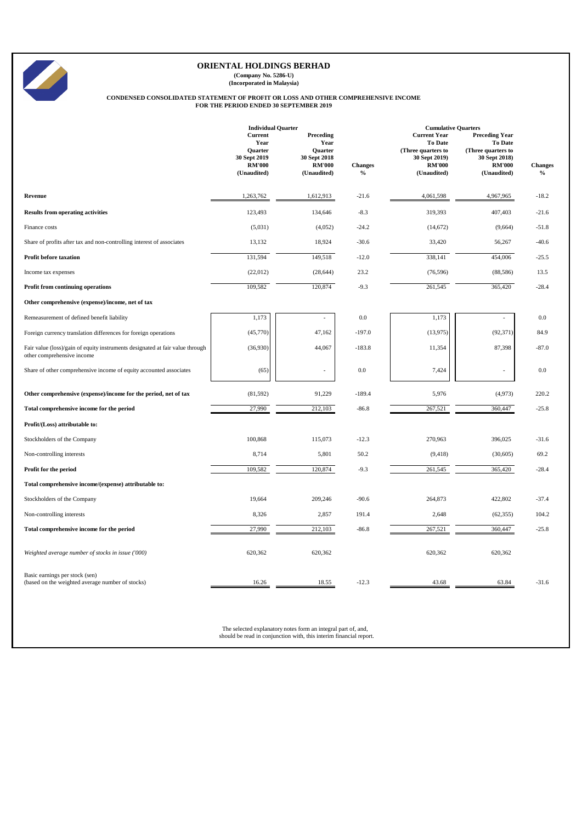**(Company No. 5286-U) (Incorporated in Malaysia)**

# **CONDENSED CONSOLIDATED STATEMENT OF PROFIT OR LOSS AND OTHER COMPREHENSIVE INCOME FOR THE PERIOD ENDED 30 SEPTEMBER 2019**

|                                                                                                             | <b>Individual Quarter</b>                                                         |                                                                              |                                 | <b>Cumulative Quarters</b>                                                                                   |                                                                                                         |                        |
|-------------------------------------------------------------------------------------------------------------|-----------------------------------------------------------------------------------|------------------------------------------------------------------------------|---------------------------------|--------------------------------------------------------------------------------------------------------------|---------------------------------------------------------------------------------------------------------|------------------------|
|                                                                                                             | Current<br>Year<br><b>Quarter</b><br>30 Sept 2019<br><b>RM'000</b><br>(Unaudited) | Preceding<br>Year<br>Quarter<br>30 Sept 2018<br><b>RM'000</b><br>(Unaudited) | <b>Changes</b><br>$\frac{0}{0}$ | <b>Current Year</b><br><b>To Date</b><br>(Three quarters to<br>30 Sept 2019)<br><b>RM'000</b><br>(Unaudited) | <b>Preceding Year</b><br>To Date<br>(Three quarters to<br>30 Sept 2018)<br><b>RM'000</b><br>(Unaudited) | <b>Changes</b><br>$\%$ |
| Revenue                                                                                                     | 1,263,762                                                                         | 1,612,913                                                                    | $-21.6$                         | 4,061,598                                                                                                    | 4,967,965                                                                                               | $-18.2$                |
| <b>Results from operating activities</b>                                                                    | 123,493                                                                           | 134,646                                                                      | $-8.3$                          | 319,393                                                                                                      | 407,403                                                                                                 | $-21.6$                |
| Finance costs                                                                                               | (5,031)                                                                           | (4,052)                                                                      | $-24.2$                         | (14, 672)                                                                                                    | (9,664)                                                                                                 | $-51.8$                |
| Share of profits after tax and non-controlling interest of associates                                       | 13,132                                                                            | 18,924                                                                       | $-30.6$                         | 33,420                                                                                                       | 56,267                                                                                                  | $-40.6$                |
| <b>Profit before taxation</b>                                                                               | 131,594                                                                           | 149,518                                                                      | $-12.0$                         | 338,141                                                                                                      | 454,006                                                                                                 | $-25.5$                |
| Income tax expenses                                                                                         | (22,012)                                                                          | (28, 644)                                                                    | 23.2                            | (76, 596)                                                                                                    | (88,586)                                                                                                | 13.5                   |
| Profit from continuing operations                                                                           | 109,582                                                                           | 120,874                                                                      | $-9.3$                          | 261,545                                                                                                      | 365,420                                                                                                 | $-28.4$                |
| Other comprehensive (expense)/income, net of tax                                                            |                                                                                   |                                                                              |                                 |                                                                                                              |                                                                                                         |                        |
| Remeasurement of defined benefit liability                                                                  | 1,173                                                                             |                                                                              | 0.0                             | 1,173                                                                                                        |                                                                                                         | $0.0\,$                |
| Foreign currency translation differences for foreign operations                                             | (45,770)                                                                          | 47,162                                                                       | $-197.0$                        | (13, 975)                                                                                                    | (92, 371)                                                                                               | 84.9                   |
| Fair value (loss)/gain of equity instruments designated at fair value through<br>other comprehensive income | (36,930)                                                                          | 44,067                                                                       | $-183.8$                        | 11,354                                                                                                       | 87,398                                                                                                  | $-87.0$                |
| Share of other comprehensive income of equity accounted associates                                          | (65)                                                                              | ÷                                                                            | $0.0\,$                         | 7,424                                                                                                        |                                                                                                         | $0.0\,$                |
| Other comprehensive (expense)/income for the period, net of tax                                             | (81, 592)                                                                         | 91,229                                                                       | $-189.4$                        | 5,976                                                                                                        | (4,973)                                                                                                 | 220.2                  |
| Total comprehensive income for the period                                                                   | 27,990                                                                            | 212,103                                                                      | $-86.8$                         | 267,521                                                                                                      | 360,447                                                                                                 | $-25.8$                |
| Profit/(Loss) attributable to:                                                                              |                                                                                   |                                                                              |                                 |                                                                                                              |                                                                                                         |                        |
| Stockholders of the Company                                                                                 | 100,868                                                                           | 115,073                                                                      | $-12.3$                         | 270,963                                                                                                      | 396,025                                                                                                 | $-31.6$                |
| Non-controlling interests                                                                                   | 8,714                                                                             | 5,801                                                                        | 50.2                            | (9, 418)                                                                                                     | (30,605)                                                                                                | 69.2                   |
| Profit for the period                                                                                       | 109,582                                                                           | 120,874                                                                      | $-9.3$                          | 261,545                                                                                                      | 365,420                                                                                                 | $-28.4$                |
| Total comprehensive income/(expense) attributable to:                                                       |                                                                                   |                                                                              |                                 |                                                                                                              |                                                                                                         |                        |
| Stockholders of the Company                                                                                 | 19,664                                                                            | 209,246                                                                      | $-90.6$                         | 264,873                                                                                                      | 422,802                                                                                                 | $-37.4$                |
| Non-controlling interests                                                                                   | 8,326                                                                             | 2,857                                                                        | 191.4                           | 2,648                                                                                                        | (62, 355)                                                                                               | 104.2                  |
| Total comprehensive income for the period                                                                   | 27,990                                                                            | 212,103                                                                      | $-86.8$                         | 267,521                                                                                                      | 360,447                                                                                                 | $-25.8$                |
| Weighted average number of stocks in issue ('000)                                                           | 620,362                                                                           | 620,362                                                                      |                                 | 620,362                                                                                                      | 620,362                                                                                                 |                        |
| Basic earnings per stock (sen)<br>(based on the weighted average number of stocks)                          | 16.26                                                                             | 18.55                                                                        | $-12.3$                         | 43.68                                                                                                        | 63.84                                                                                                   | $-31.6$                |

The selected explanatory notes form an integral part of, and, should be read in conjunction with, this interim financial report.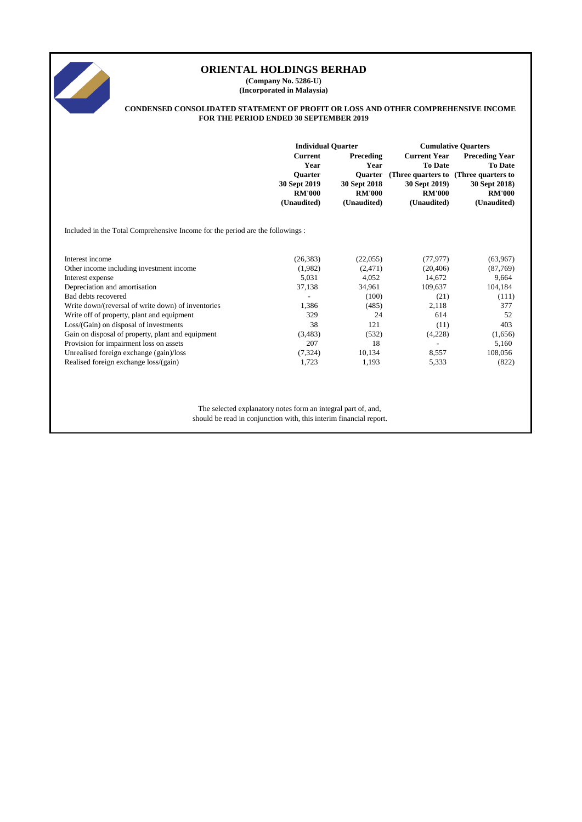

**(Company No. 5286-U) (Incorporated in Malaysia)**

#### **CONDENSED CONSOLIDATED STATEMENT OF PROFIT OR LOSS AND OTHER COMPREHENSIVE INCOME FOR THE PERIOD ENDED 30 SEPTEMBER 2019**

|                                                                               | <b>Individual Quarter</b>                                                                |                                                                                     | <b>Cumulative Quarters</b>                                                                                   |                                                                                                                |  |
|-------------------------------------------------------------------------------|------------------------------------------------------------------------------------------|-------------------------------------------------------------------------------------|--------------------------------------------------------------------------------------------------------------|----------------------------------------------------------------------------------------------------------------|--|
|                                                                               | <b>Current</b><br>Year<br><b>Ouarter</b><br>30 Sept 2019<br><b>RM'000</b><br>(Unaudited) | Preceding<br>Year<br><b>Ouarter</b><br>30 Sept 2018<br><b>RM'000</b><br>(Unaudited) | <b>Current Year</b><br><b>To Date</b><br>(Three quarters to<br>30 Sept 2019)<br><b>RM'000</b><br>(Unaudited) | <b>Preceding Year</b><br><b>To Date</b><br>(Three quarters to<br>30 Sept 2018)<br><b>RM'000</b><br>(Unaudited) |  |
| Included in the Total Comprehensive Income for the period are the followings: |                                                                                          |                                                                                     |                                                                                                              |                                                                                                                |  |
| Interest income                                                               | (26, 383)                                                                                | (22,055)                                                                            | (77, 977)                                                                                                    | (63,967)                                                                                                       |  |
| Other income including investment income                                      | (1,982)                                                                                  | (2,471)                                                                             | (20, 406)                                                                                                    | (87,769)                                                                                                       |  |
| Interest expense                                                              | 5,031                                                                                    | 4,052                                                                               | 14,672                                                                                                       | 9,664                                                                                                          |  |
| Depreciation and amortisation                                                 | 37,138                                                                                   | 34,961                                                                              | 109,637                                                                                                      | 104,184                                                                                                        |  |
| Bad debts recovered                                                           |                                                                                          | (100)                                                                               | (21)                                                                                                         | (111)                                                                                                          |  |
| Write down/(reversal of write down) of inventories                            | 1,386                                                                                    | (485)                                                                               | 2,118                                                                                                        | 377                                                                                                            |  |
| Write off of property, plant and equipment                                    | 329                                                                                      | 24                                                                                  | 614                                                                                                          | 52                                                                                                             |  |
| Loss/(Gain) on disposal of investments                                        | 38                                                                                       | 121                                                                                 | (11)                                                                                                         | 403                                                                                                            |  |
| Gain on disposal of property, plant and equipment                             | (3,483)                                                                                  | (532)                                                                               | (4,228)                                                                                                      | (1,656)                                                                                                        |  |
| Provision for impairment loss on assets                                       | 207                                                                                      | 18                                                                                  |                                                                                                              | 5,160                                                                                                          |  |
| Unrealised foreign exchange (gain)/loss                                       | (7, 324)                                                                                 | 10,134                                                                              | 8,557                                                                                                        | 108,056                                                                                                        |  |
| Realised foreign exchange loss/(gain)                                         | 1,723                                                                                    | 1,193                                                                               | 5,333                                                                                                        | (822)                                                                                                          |  |
|                                                                               |                                                                                          |                                                                                     |                                                                                                              |                                                                                                                |  |

The selected explanatory notes form an integral part of, and, should be read in conjunction with, this interim financial report.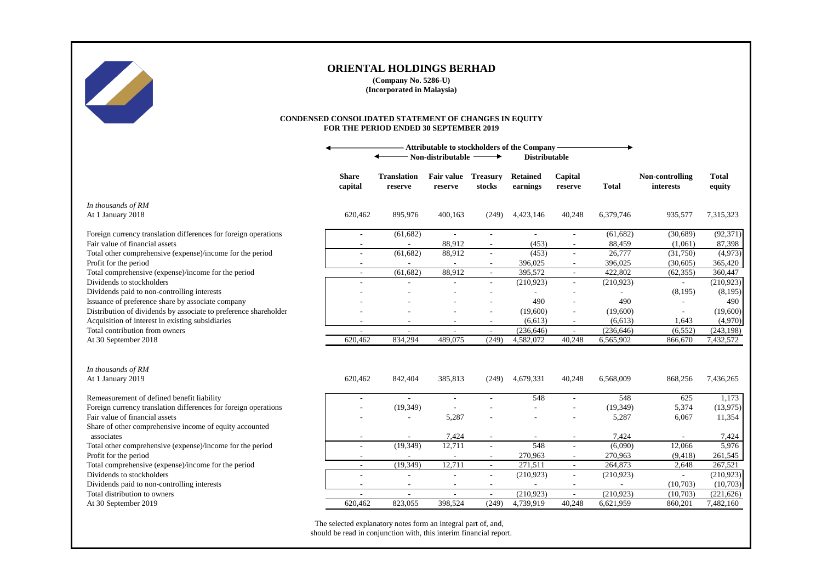

**(Company No. 5286-U) (Incorporated in Malaysia)**

#### **CONDENSED CONSOLIDATED STATEMENT OF CHANGES IN EQUITY FOR THE PERIOD ENDED 30 SEPTEMBER 2019**

|                                                                  | <b>Attributable to stockholders of the Company</b><br>Non-distributable<br><b>Distributable</b><br>→ |                               |                              |                           |                             |                          |              |                              |                        |
|------------------------------------------------------------------|------------------------------------------------------------------------------------------------------|-------------------------------|------------------------------|---------------------------|-----------------------------|--------------------------|--------------|------------------------------|------------------------|
|                                                                  | <b>Share</b><br>capital                                                                              | <b>Translation</b><br>reserve | <b>Fair value</b><br>reserve | <b>Treasury</b><br>stocks | <b>Retained</b><br>earnings | Capital<br>reserve       | <b>Total</b> | Non-controlling<br>interests | <b>Total</b><br>equity |
| In thousands of RM                                               |                                                                                                      |                               |                              |                           |                             |                          |              |                              |                        |
| At 1 January 2018                                                | 620,462                                                                                              | 895,976                       | 400,163                      | (249)                     | 4,423,146                   | 40,248                   | 6,379,746    | 935,577                      | 7,315,323              |
| Foreign currency translation differences for foreign operations  | $\overline{\phantom{a}}$                                                                             | (61, 682)                     | $\sim$                       | $\sim$                    | $\sim$                      | $\sim$                   | (61, 682)    | (30,689)                     | (92, 371)              |
| Fair value of financial assets                                   | $\overline{\phantom{a}}$                                                                             | $\sim$                        | 88,912                       | $\sim$                    | (453)                       | $\sim$                   | 88,459       | (1,061)                      | 87,398                 |
| Total other comprehensive (expense)/income for the period        | ÷.                                                                                                   | (61, 682)                     | 88,912                       | $\sim$                    | (453)                       | $\sim$                   | 26,777       | (31,750)                     | (4,973)                |
| Profit for the period                                            | $\overline{\phantom{a}}$                                                                             |                               |                              | $\sim$                    | 396,025                     | $\overline{\phantom{a}}$ | 396,025      | (30,605)                     | 365,420                |
| Total comprehensive (expense)/income for the period              | $\overline{\phantom{a}}$                                                                             | (61, 682)                     | 88,912                       | $\bar{\phantom{a}}$       | 395,572                     | $\sim$                   | 422,802      | (62, 355)                    | 360,447                |
| Dividends to stockholders                                        | ÷,                                                                                                   |                               |                              |                           | (210, 923)                  | $\sim$                   | (210,923)    | $\overline{\phantom{a}}$     | (210,923)              |
| Dividends paid to non-controlling interests                      |                                                                                                      |                               |                              |                           |                             |                          |              | (8, 195)                     | (8, 195)               |
| Issuance of preference share by associate company                |                                                                                                      |                               |                              |                           | 490                         |                          | 490          | $\overline{a}$               | 490                    |
| Distribution of dividends by associate to preference shareholder |                                                                                                      |                               |                              |                           | (19,600)                    |                          | (19,600)     | $\overline{\phantom{a}}$     | (19,600)               |
| Acquisition of interest in existing subsidiaries                 |                                                                                                      |                               |                              |                           | (6, 613)                    |                          | (6, 613)     | 1,643                        | (4,970)                |
| Total contribution from owners                                   | ÷                                                                                                    | $\sim$                        | ÷.                           | $\sim$                    | (236, 646)                  | $\sim$                   | (236, 646)   | (6, 552)                     | (243, 198)             |
| At 30 September 2018                                             | 620,462                                                                                              | 834,294                       | 489,075                      | (249)                     | 4,582,072                   | 40,248                   | 6,565,902    | 866,670                      | 7,432,572              |
|                                                                  |                                                                                                      |                               |                              |                           |                             |                          |              |                              |                        |
| In thousands of RM                                               |                                                                                                      |                               |                              |                           |                             |                          |              |                              |                        |
| At 1 January 2019                                                | 620,462                                                                                              | 842,404                       | 385,813                      | (249)                     | 4,679,331                   | 40,248                   | 6,568,009    | 868,256                      | 7,436,265              |
| Remeasurement of defined benefit liability                       | $\overline{\phantom{a}}$                                                                             | $\sim$                        | $\sim$                       |                           | 548                         | $\sim$                   | 548          | 625                          | 1,173                  |
| Foreign currency translation differences for foreign operations  |                                                                                                      | (19, 349)                     |                              |                           |                             |                          | (19, 349)    | 5,374                        | (13,975)               |
| Fair value of financial assets                                   |                                                                                                      |                               | 5,287                        |                           |                             |                          | 5,287        | 6,067                        | 11,354                 |
| Share of other comprehensive income of equity accounted          |                                                                                                      |                               |                              |                           |                             |                          |              |                              |                        |
| associates                                                       |                                                                                                      |                               | 7,424                        |                           |                             |                          | 7,424        |                              | 7,424                  |
| Total other comprehensive (expense)/income for the period        | $\overline{\phantom{a}}$                                                                             | (19, 349)                     | 12,711                       | $\sim$                    | 548                         | $\sim$                   | (6,090)      | 12,066                       | 5,976                  |
| Profit for the period                                            | $\overline{\phantom{a}}$                                                                             | $\overline{\phantom{a}}$      | $\sim$                       | $\sim$                    | 270,963                     | $\sim$                   | 270,963      | (9, 418)                     | 261,545                |
| Total comprehensive (expense)/income for the period              | $\overline{\phantom{a}}$                                                                             | (19, 349)                     | 12,711                       | $\sim$                    | 271,511                     | $\overline{\phantom{a}}$ | 264,873      | 2,648                        | 267,521                |
| Dividends to stockholders                                        | $\overline{\phantom{a}}$                                                                             | $\overline{\phantom{a}}$      | $\overline{\phantom{a}}$     | $\overline{\phantom{a}}$  | (210, 923)                  | $\sim$                   | (210, 923)   | $\overline{\phantom{a}}$     | (210,923)              |
| Dividends paid to non-controlling interests                      | $\overline{a}$                                                                                       | $\overline{\phantom{a}}$      | $\overline{\phantom{a}}$     | $\sim$                    |                             | $\overline{\phantom{a}}$ |              | (10,703)                     | (10,703)               |
| Total distribution to owners                                     | $\overline{a}$                                                                                       | $\sim$                        | ٠                            | $\sim$                    | (210, 923)                  | $\overline{\phantom{a}}$ | (210, 923)   | (10,703)                     | (221, 626)             |
| At 30 September 2019                                             | 620,462                                                                                              | 823,055                       | 398,524                      | (249)                     | 4,739,919                   | 40,248                   | 6,621,959    | 860,201                      | 7,482,160              |
|                                                                  |                                                                                                      |                               |                              |                           |                             |                          |              |                              |                        |

The selected explanatory notes form an integral part of, and, should be read in conjunction with, this interim financial report.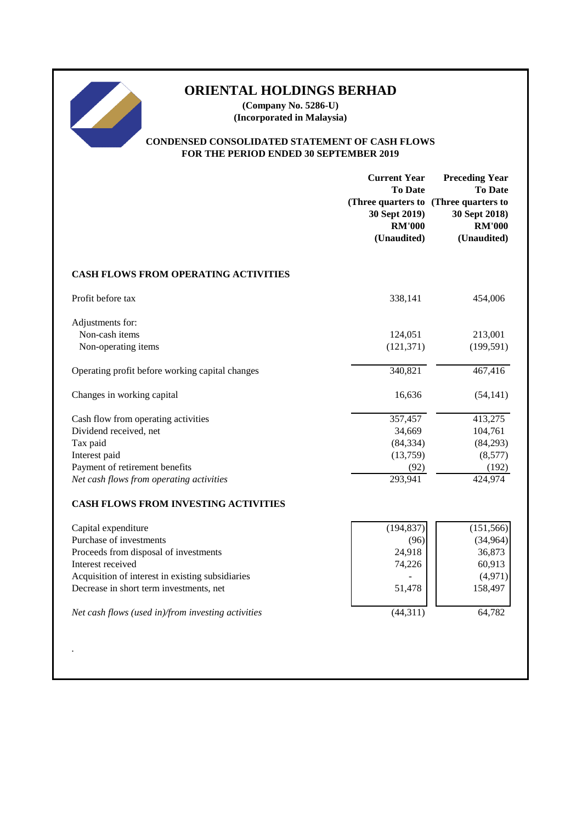**(Company No. 5286-U) (Incorporated in Malaysia)**

### **CONDENSED CONSOLIDATED STATEMENT OF CASH FLOWS FOR THE PERIOD ENDED 30 SEPTEMBER 2019**

|                                                    | <b>Current Year</b><br><b>To Date</b><br>30 Sept 2019)<br><b>RM'000</b><br>(Unaudited) | <b>Preceding Year</b><br><b>To Date</b><br>(Three quarters to (Three quarters to<br>30 Sept 2018)<br><b>RM'000</b><br>(Unaudited) |
|----------------------------------------------------|----------------------------------------------------------------------------------------|-----------------------------------------------------------------------------------------------------------------------------------|
| <b>CASH FLOWS FROM OPERATING ACTIVITIES</b>        |                                                                                        |                                                                                                                                   |
| Profit before tax                                  | 338,141                                                                                | 454,006                                                                                                                           |
| Adjustments for:<br>Non-cash items                 | 124,051                                                                                | 213,001                                                                                                                           |
| Non-operating items                                | (121, 371)                                                                             | (199, 591)                                                                                                                        |
| Operating profit before working capital changes    | 340,821                                                                                | 467,416                                                                                                                           |
| Changes in working capital                         | 16,636                                                                                 | (54, 141)                                                                                                                         |
| Cash flow from operating activities                | 357,457                                                                                | 413,275                                                                                                                           |
| Dividend received, net                             | 34,669                                                                                 | 104,761                                                                                                                           |
| Tax paid                                           | (84, 334)                                                                              | (84,293)                                                                                                                          |
| Interest paid                                      | (13,759)                                                                               | (8,577)                                                                                                                           |
| Payment of retirement benefits                     | (92)                                                                                   | (192)                                                                                                                             |
| Net cash flows from operating activities           | 293,941                                                                                | 424,974                                                                                                                           |
| <b>CASH FLOWS FROM INVESTING ACTIVITIES</b>        |                                                                                        |                                                                                                                                   |
| Capital expenditure                                | (194, 837)                                                                             | (151, 566)                                                                                                                        |
| Purchase of investments                            | (96)                                                                                   | (34, 964)                                                                                                                         |
| Proceeds from disposal of investments              | 24,918                                                                                 | 36,873                                                                                                                            |
| Interest received                                  | 74,226                                                                                 | 60,913                                                                                                                            |
| Acquisition of interest in existing subsidiaries   |                                                                                        | (4,971)                                                                                                                           |
| Decrease in short term investments, net            | 51,478                                                                                 | 158,497                                                                                                                           |
| Net cash flows (used in)/from investing activities | (44, 311)                                                                              | 64,782                                                                                                                            |
|                                                    |                                                                                        |                                                                                                                                   |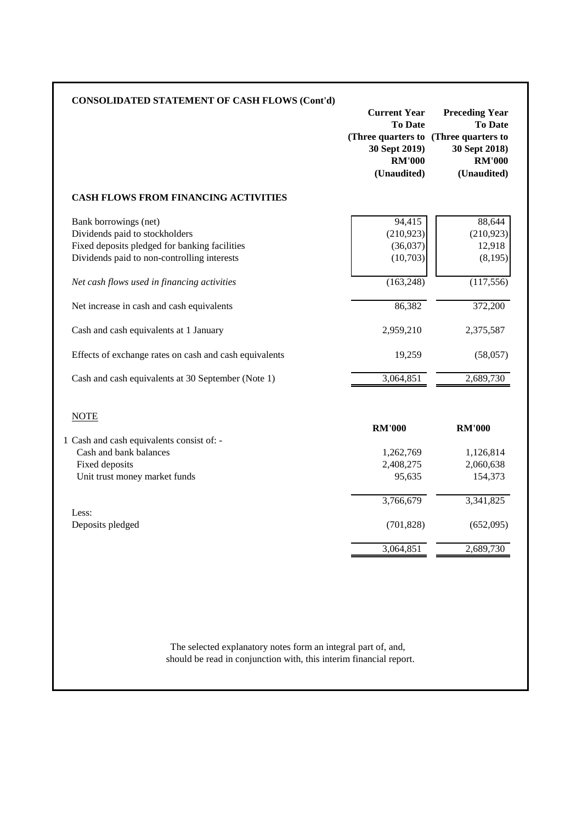| <b>CONSOLIDATED STATEMENT OF CASH FLOWS (Cont'd)</b>                                                                                                                                                                                                                                                                                                                                                          | <b>Current Year</b><br><b>To Date</b><br>(Three quarters to (Three quarters to<br>30 Sept 2019)<br><b>RM'000</b><br>(Unaudited) | <b>Preceding Year</b><br><b>To Date</b><br>30 Sept 2018)<br><b>RM'000</b><br>(Unaudited)                 |
|---------------------------------------------------------------------------------------------------------------------------------------------------------------------------------------------------------------------------------------------------------------------------------------------------------------------------------------------------------------------------------------------------------------|---------------------------------------------------------------------------------------------------------------------------------|----------------------------------------------------------------------------------------------------------|
| <b>CASH FLOWS FROM FINANCING ACTIVITIES</b>                                                                                                                                                                                                                                                                                                                                                                   |                                                                                                                                 |                                                                                                          |
| Bank borrowings (net)<br>Dividends paid to stockholders<br>Fixed deposits pledged for banking facilities<br>Dividends paid to non-controlling interests<br>Net cash flows used in financing activities<br>Net increase in cash and cash equivalents<br>Cash and cash equivalents at 1 January<br>Effects of exchange rates on cash and cash equivalents<br>Cash and cash equivalents at 30 September (Note 1) | 94,415<br>(210, 923)<br>(36,037)<br>(10,703)<br>(163, 248)<br>86,382<br>2,959,210<br>19,259<br>3,064,851                        | 88,644<br>(210, 923)<br>12,918<br>(8,195)<br>(117, 556)<br>372,200<br>2,375,587<br>(58,057)<br>2,689,730 |
| <b>NOTE</b><br>1 Cash and cash equivalents consist of: -<br>Cash and bank balances<br>Fixed deposits<br>Unit trust money market funds                                                                                                                                                                                                                                                                         | <b>RM'000</b><br>1,262,769<br>2,408,275<br>95,635                                                                               | <b>RM'000</b><br>1,126,814<br>2,060,638<br>154,373                                                       |
| Less:<br>Deposits pledged                                                                                                                                                                                                                                                                                                                                                                                     | 3,766,679<br>(701, 828)<br>3,064,851                                                                                            | 3,341,825<br>(652,095)<br>2,689,730                                                                      |

should be read in conjunction with, this interim financial report. The selected explanatory notes form an integral part of, and,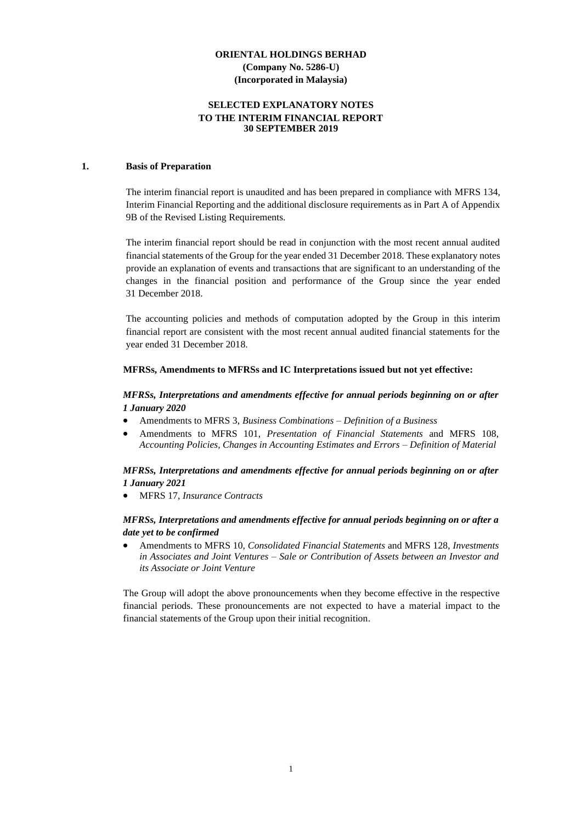### **SELECTED EXPLANATORY NOTES TO THE INTERIM FINANCIAL REPORT 30 SEPTEMBER 2019**

#### **1. Basis of Preparation**

The interim financial report is unaudited and has been prepared in compliance with MFRS 134, Interim Financial Reporting and the additional disclosure requirements as in Part A of Appendix 9B of the Revised Listing Requirements.

The interim financial report should be read in conjunction with the most recent annual audited financial statements of the Group for the year ended 31 December 2018. These explanatory notes provide an explanation of events and transactions that are significant to an understanding of the changes in the financial position and performance of the Group since the year ended 31 December 2018.

The accounting policies and methods of computation adopted by the Group in this interim financial report are consistent with the most recent annual audited financial statements for the year ended 31 December 2018.

#### **MFRSs, Amendments to MFRSs and IC Interpretations issued but not yet effective:**

### *MFRSs, Interpretations and amendments effective for annual periods beginning on or after 1 January 2020*

- Amendments to MFRS 3, *Business Combinations – Definition of a Business*
- Amendments to MFRS 101, *Presentation of Financial Statements* and MFRS 108, *Accounting Policies, Changes in Accounting Estimates and Errors – Definition of Material*

### *MFRSs, Interpretations and amendments effective for annual periods beginning on or after 1 January 2021*

• MFRS 17, *Insurance Contracts*

#### *MFRSs, Interpretations and amendments effective for annual periods beginning on or after a date yet to be confirmed*

• Amendments to MFRS 10, *Consolidated Financial Statements* and MFRS 128, *Investments in Associates and Joint Ventures – Sale or Contribution of Assets between an Investor and its Associate or Joint Venture*

The Group will adopt the above pronouncements when they become effective in the respective financial periods. These pronouncements are not expected to have a material impact to the financial statements of the Group upon their initial recognition.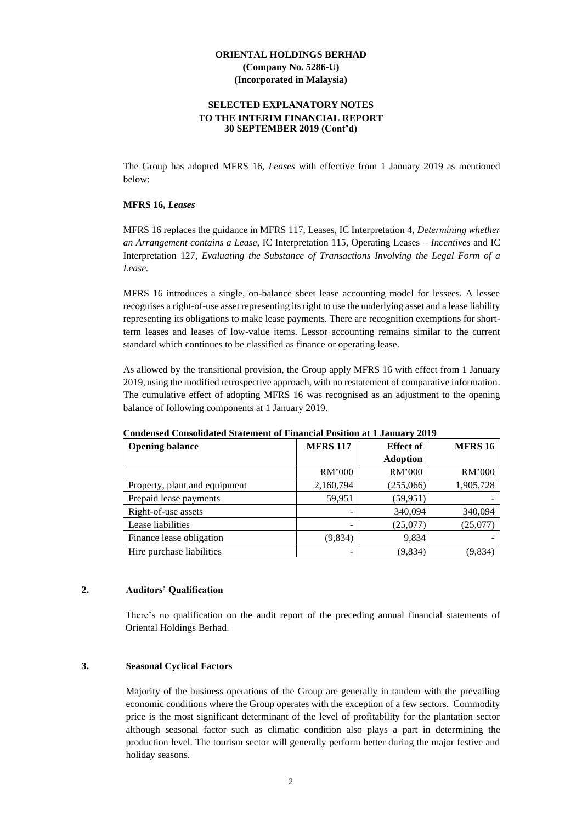#### **SELECTED EXPLANATORY NOTES TO THE INTERIM FINANCIAL REPORT 30 SEPTEMBER 2019 (Cont'd)**

The Group has adopted MFRS 16, *Leases* with effective from 1 January 2019 as mentioned below:

#### **MFRS 16,** *Leases*

MFRS 16 replaces the guidance in MFRS 117, Leases, IC Interpretation 4, *Determining whether an Arrangement contains a Lease*, IC Interpretation 115, Operating Leases *– Incentives* and IC Interpretation 127*, Evaluating the Substance of Transactions Involving the Legal Form of a Lease.*

MFRS 16 introduces a single, on-balance sheet lease accounting model for lessees. A lessee recognises a right-of-use asset representing its right to use the underlying asset and a lease liability representing its obligations to make lease payments. There are recognition exemptions for shortterm leases and leases of low-value items. Lessor accounting remains similar to the current standard which continues to be classified as finance or operating lease.

As allowed by the transitional provision, the Group apply MFRS 16 with effect from 1 January 2019, using the modified retrospective approach, with no restatement of comparative information. The cumulative effect of adopting MFRS 16 was recognised as an adjustment to the opening balance of following components at 1 January 2019.

| <b>Opening balance</b>        | <b>MFRS 117</b> | <b>Effect of</b> | <b>MFRS 16</b> |
|-------------------------------|-----------------|------------------|----------------|
|                               |                 | <b>Adoption</b>  |                |
|                               | RM'000          | RM'000           | RM'000         |
| Property, plant and equipment | 2,160,794       | (255,066)        | 1,905,728      |
| Prepaid lease payments        | 59,951          | (59, 951)        |                |
| Right-of-use assets           |                 | 340,094          | 340,094        |
| Lease liabilities             | -               | (25,077)         | (25,077)       |
| Finance lease obligation      | (9,834)         | 9,834            |                |
| Hire purchase liabilities     |                 | (9,834)          | (9,834)        |

**Condensed Consolidated Statement of Financial Position at 1 January 2019**

#### **2. Auditors' Qualification**

There's no qualification on the audit report of the preceding annual financial statements of Oriental Holdings Berhad.

#### **3. Seasonal Cyclical Factors**

Majority of the business operations of the Group are generally in tandem with the prevailing economic conditions where the Group operates with the exception of a few sectors. Commodity price is the most significant determinant of the level of profitability for the plantation sector although seasonal factor such as climatic condition also plays a part in determining the production level. The tourism sector will generally perform better during the major festive and holiday seasons.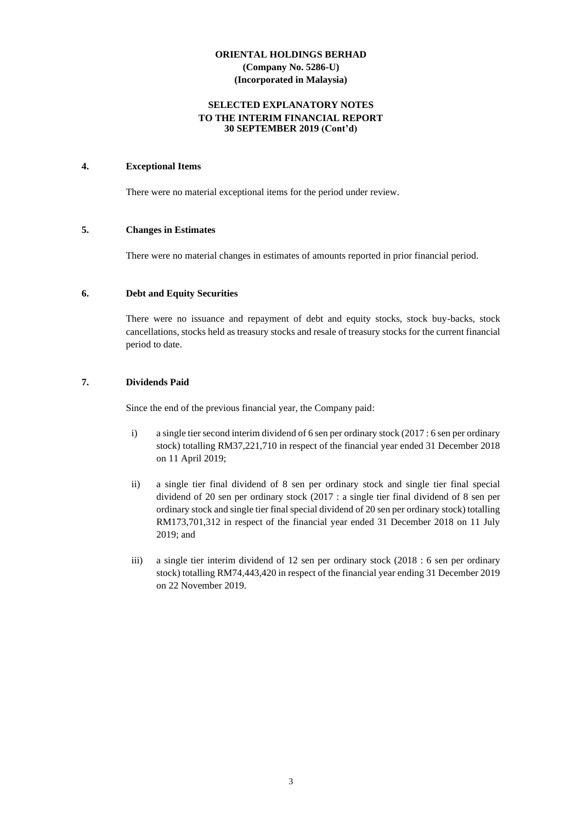### **SELECTED EXPLANATORY NOTES TO THE INTERIM FINANCIAL REPORT 30 SEPTEMBER 2019 (Cont'd)**

### **4. Exceptional Items**

There were no material exceptional items for the period under review.

#### **5. Changes in Estimates**

There were no material changes in estimates of amounts reported in prior financial period.

#### **6. Debt and Equity Securities**

There were no issuance and repayment of debt and equity stocks, stock buy-backs, stock cancellations, stocks held as treasury stocks and resale of treasury stocks for the current financial period to date.

### **7. Dividends Paid**

Since the end of the previous financial year, the Company paid:

- i) a single tier second interim dividend of 6 sen per ordinary stock (2017 : 6 sen per ordinary stock) totalling RM37,221,710 in respect of the financial year ended 31 December 2018 on 11 April 2019;
- ii) a single tier final dividend of 8 sen per ordinary stock and single tier final special dividend of 20 sen per ordinary stock (2017 : a single tier final dividend of 8 sen per ordinary stock and single tier final special dividend of 20 sen per ordinary stock) totalling RM173,701,312 in respect of the financial year ended 31 December 2018 on 11 July 2019; and
- iii) a single tier interim dividend of 12 sen per ordinary stock (2018 : 6 sen per ordinary stock) totalling RM74,443,420 in respect of the financial year ending 31 December 2019 on 22 November 2019.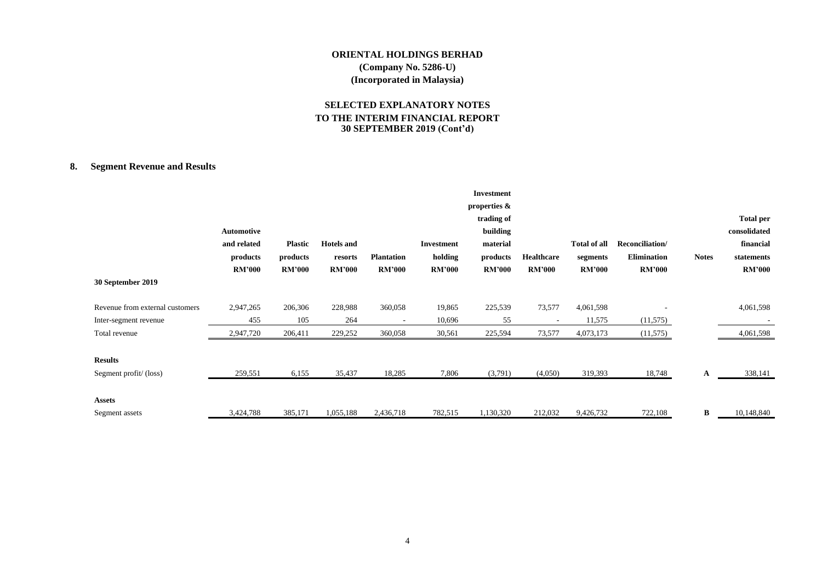### **SELECTED EXPLANATORY NOTES TO THE INTERIM FINANCIAL REPORT 30 SEPTEMBER 2019 (Cont'd)**

# **8. Segment Revenue and Results**

|                                 |               |                |                   |                          |               | <b>Investment</b> |                          |                     |                 |              |                  |
|---------------------------------|---------------|----------------|-------------------|--------------------------|---------------|-------------------|--------------------------|---------------------|-----------------|--------------|------------------|
|                                 |               |                |                   |                          |               | properties &      |                          |                     |                 |              |                  |
|                                 |               |                |                   |                          |               | trading of        |                          |                     |                 |              | <b>Total per</b> |
|                                 | Automotive    |                |                   |                          |               | building          |                          |                     |                 |              | consolidated     |
|                                 | and related   | <b>Plastic</b> | <b>Hotels</b> and |                          | Investment    | material          |                          | <b>Total of all</b> | Reconciliation/ |              | financial        |
|                                 | products      | products       | resorts           | <b>Plantation</b>        | holding       | products          | Healthcare               | segments            | Elimination     | <b>Notes</b> | statements       |
|                                 | <b>RM'000</b> | <b>RM'000</b>  | <b>RM'000</b>     | <b>RM'000</b>            | <b>RM'000</b> | <b>RM'000</b>     | <b>RM'000</b>            | <b>RM'000</b>       | <b>RM'000</b>   |              | <b>RM'000</b>    |
| 30 September 2019               |               |                |                   |                          |               |                   |                          |                     |                 |              |                  |
| Revenue from external customers | 2,947,265     | 206,306        | 228,988           | 360,058                  | 19,865        | 225,539           | 73,577                   | 4,061,598           |                 |              | 4,061,598        |
| Inter-segment revenue           | 455           | 105            | 264               | $\overline{\phantom{a}}$ | 10,696        | 55                | $\overline{\phantom{a}}$ | 11,575              | (11,575)        |              |                  |
| Total revenue                   | 2,947,720     | 206,411        | 229,252           | 360,058                  | 30,561        | 225,594           | 73,577                   | 4,073,173           | (11,575)        |              | 4,061,598        |
|                                 |               |                |                   |                          |               |                   |                          |                     |                 |              |                  |
| <b>Results</b>                  |               |                |                   |                          |               |                   |                          |                     |                 |              |                  |
| Segment profit/(loss)           | 259,551       | 6,155          | 35,437            | 18,285                   | 7,806         | (3,791)           | (4,050)                  | 319,393             | 18,748          | A            | 338,141          |
|                                 |               |                |                   |                          |               |                   |                          |                     |                 |              |                  |
| <b>Assets</b>                   |               |                |                   |                          |               |                   |                          |                     |                 |              |                  |
| Segment assets                  | 3,424,788     | 385,171        | 1,055,188         | 2,436,718                | 782,515       | 1,130,320         | 212,032                  | 9,426,732           | 722,108         | B            | 10,148,840       |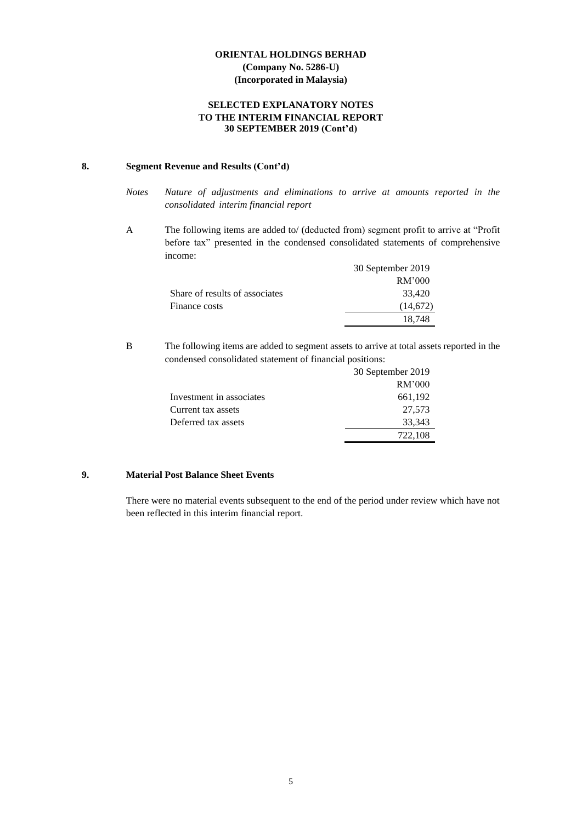### **SELECTED EXPLANATORY NOTES TO THE INTERIM FINANCIAL REPORT 30 SEPTEMBER 2019 (Cont'd)**

### **8. Segment Revenue and Results (Cont'd)**

- *Notes Nature of adjustments and eliminations to arrive at amounts reported in the consolidated interim financial report*
- A The following items are added to/ (deducted from) segment profit to arrive at "Profit before tax" presented in the condensed consolidated statements of comprehensive income:

|                                | 30 September 2019 |
|--------------------------------|-------------------|
|                                | RM'000            |
| Share of results of associates | 33.420            |
| Finance costs                  | (14,672)          |
|                                | 18.748            |

B The following items are added to segment assets to arrive at total assets reported in the condensed consolidated statement of financial positions:

|                          | 30 September 2019 |
|--------------------------|-------------------|
|                          | RM'000            |
| Investment in associates | 661,192           |
| Current tax assets       | 27,573            |
| Deferred tax assets      | 33,343            |
|                          | 722,108           |

# **9. Material Post Balance Sheet Events**

There were no material events subsequent to the end of the period under review which have not been reflected in this interim financial report.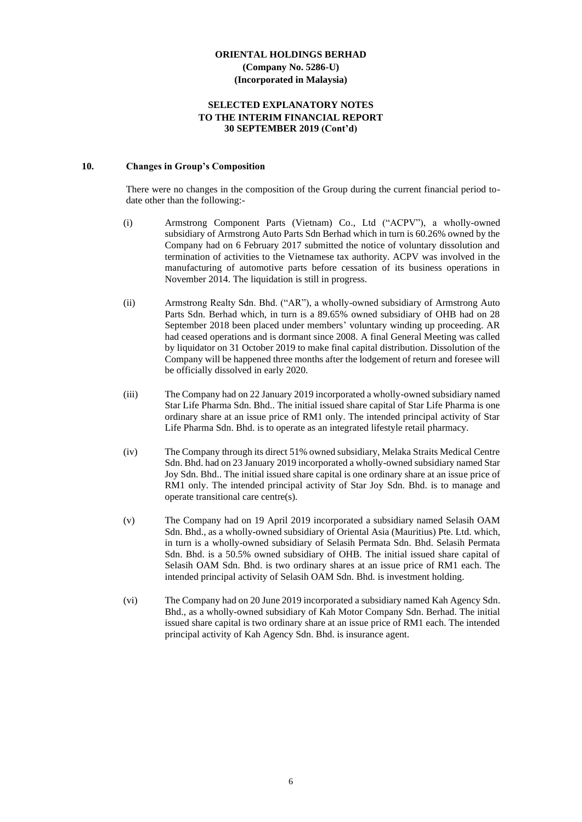#### **SELECTED EXPLANATORY NOTES TO THE INTERIM FINANCIAL REPORT 30 SEPTEMBER 2019 (Cont'd)**

#### **10. Changes in Group's Composition**

There were no changes in the composition of the Group during the current financial period todate other than the following:-

- (i) Armstrong Component Parts (Vietnam) Co., Ltd ("ACPV"), a wholly-owned subsidiary of Armstrong Auto Parts Sdn Berhad which in turn is 60.26% owned by the Company had on 6 February 2017 submitted the notice of voluntary dissolution and termination of activities to the Vietnamese tax authority. ACPV was involved in the manufacturing of automotive parts before cessation of its business operations in November 2014. The liquidation is still in progress.
- (ii) Armstrong Realty Sdn. Bhd. ("AR"), a wholly-owned subsidiary of Armstrong Auto Parts Sdn. Berhad which, in turn is a 89.65% owned subsidiary of OHB had on 28 September 2018 been placed under members' voluntary winding up proceeding. AR had ceased operations and is dormant since 2008. A final General Meeting was called by liquidator on 31 October 2019 to make final capital distribution. Dissolution of the Company will be happened three months after the lodgement of return and foresee will be officially dissolved in early 2020.
- (iii) The Company had on 22 January 2019 incorporated a wholly-owned subsidiary named Star Life Pharma Sdn. Bhd.. The initial issued share capital of Star Life Pharma is one ordinary share at an issue price of RM1 only. The intended principal activity of Star Life Pharma Sdn. Bhd. is to operate as an integrated lifestyle retail pharmacy.
- (iv) The Company through its direct 51% owned subsidiary, Melaka Straits Medical Centre Sdn. Bhd. had on 23 January 2019 incorporated a wholly-owned subsidiary named Star Joy Sdn. Bhd.. The initial issued share capital is one ordinary share at an issue price of RM1 only. The intended principal activity of Star Joy Sdn. Bhd. is to manage and operate transitional care centre(s).
- (v) The Company had on 19 April 2019 incorporated a subsidiary named Selasih OAM Sdn. Bhd., as a wholly-owned subsidiary of Oriental Asia (Mauritius) Pte. Ltd. which, in turn is a wholly-owned subsidiary of Selasih Permata Sdn. Bhd. Selasih Permata Sdn. Bhd. is a 50.5% owned subsidiary of OHB. The initial issued share capital of Selasih OAM Sdn. Bhd. is two ordinary shares at an issue price of RM1 each. The intended principal activity of Selasih OAM Sdn. Bhd. is investment holding.
- (vi) The Company had on 20 June 2019 incorporated a subsidiary named Kah Agency Sdn. Bhd., as a wholly-owned subsidiary of Kah Motor Company Sdn. Berhad. The initial issued share capital is two ordinary share at an issue price of RM1 each. The intended principal activity of Kah Agency Sdn. Bhd. is insurance agent.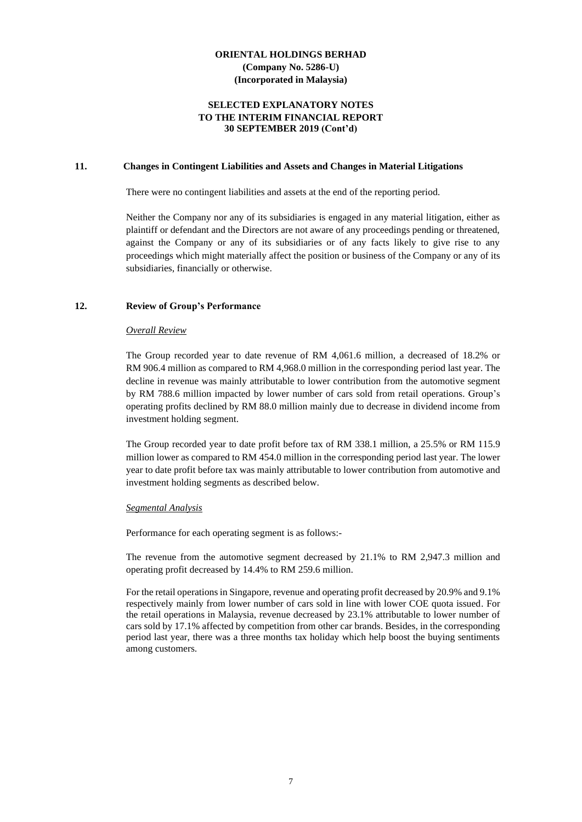### **SELECTED EXPLANATORY NOTES TO THE INTERIM FINANCIAL REPORT 30 SEPTEMBER 2019 (Cont'd)**

#### **11. Changes in Contingent Liabilities and Assets and Changes in Material Litigations**

There were no contingent liabilities and assets at the end of the reporting period.

Neither the Company nor any of its subsidiaries is engaged in any material litigation, either as plaintiff or defendant and the Directors are not aware of any proceedings pending or threatened, against the Company or any of its subsidiaries or of any facts likely to give rise to any proceedings which might materially affect the position or business of the Company or any of its subsidiaries, financially or otherwise.

#### **12. Review of Group's Performance**

#### *Overall Review*

The Group recorded year to date revenue of RM 4,061.6 million, a decreased of 18.2% or RM 906.4 million as compared to RM 4,968.0 million in the corresponding period last year. The decline in revenue was mainly attributable to lower contribution from the automotive segment by RM 788.6 million impacted by lower number of cars sold from retail operations. Group's operating profits declined by RM 88.0 million mainly due to decrease in dividend income from investment holding segment.

The Group recorded year to date profit before tax of RM 338.1 million, a 25.5% or RM 115.9 million lower as compared to RM 454.0 million in the corresponding period last year. The lower year to date profit before tax was mainly attributable to lower contribution from automotive and investment holding segments as described below.

#### *Segmental Analysis*

Performance for each operating segment is as follows:-

The revenue from the automotive segment decreased by 21.1% to RM 2,947.3 million and operating profit decreased by 14.4% to RM 259.6 million.

For the retail operations in Singapore, revenue and operating profit decreased by 20.9% and 9.1% respectively mainly from lower number of cars sold in line with lower COE quota issued. For the retail operations in Malaysia, revenue decreased by 23.1% attributable to lower number of cars sold by 17.1% affected by competition from other car brands. Besides, in the corresponding period last year, there was a three months tax holiday which help boost the buying sentiments among customers.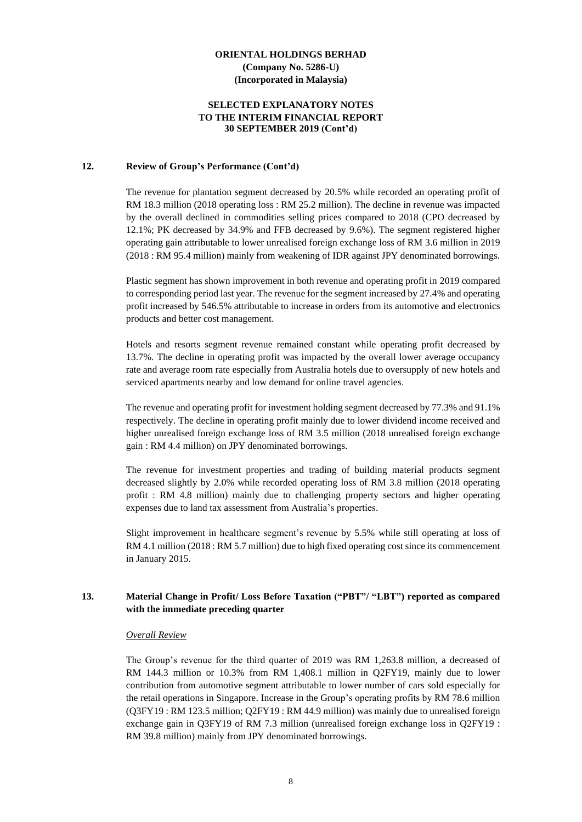### **SELECTED EXPLANATORY NOTES TO THE INTERIM FINANCIAL REPORT 30 SEPTEMBER 2019 (Cont'd)**

#### **12. Review of Group's Performance (Cont'd)**

The revenue for plantation segment decreased by 20.5% while recorded an operating profit of RM 18.3 million (2018 operating loss : RM 25.2 million). The decline in revenue was impacted by the overall declined in commodities selling prices compared to 2018 (CPO decreased by 12.1%; PK decreased by 34.9% and FFB decreased by 9.6%). The segment registered higher operating gain attributable to lower unrealised foreign exchange loss of RM 3.6 million in 2019 (2018 : RM 95.4 million) mainly from weakening of IDR against JPY denominated borrowings.

Plastic segment has shown improvement in both revenue and operating profit in 2019 compared to corresponding period last year. The revenue for the segment increased by 27.4% and operating profit increased by 546.5% attributable to increase in orders from its automotive and electronics products and better cost management.

Hotels and resorts segment revenue remained constant while operating profit decreased by 13.7%. The decline in operating profit was impacted by the overall lower average occupancy rate and average room rate especially from Australia hotels due to oversupply of new hotels and serviced apartments nearby and low demand for online travel agencies.

The revenue and operating profit for investment holding segment decreased by 77.3% and 91.1% respectively. The decline in operating profit mainly due to lower dividend income received and higher unrealised foreign exchange loss of RM 3.5 million (2018 unrealised foreign exchange gain : RM 4.4 million) on JPY denominated borrowings.

The revenue for investment properties and trading of building material products segment decreased slightly by 2.0% while recorded operating loss of RM 3.8 million (2018 operating profit : RM 4.8 million) mainly due to challenging property sectors and higher operating expenses due to land tax assessment from Australia's properties.

Slight improvement in healthcare segment's revenue by 5.5% while still operating at loss of RM 4.1 million (2018 : RM 5.7 million) due to high fixed operating cost since its commencement in January 2015.

### **13. Material Change in Profit/ Loss Before Taxation ("PBT"/ "LBT") reported as compared with the immediate preceding quarter**

#### *Overall Review*

The Group's revenue for the third quarter of 2019 was RM 1,263.8 million, a decreased of RM 144.3 million or 10.3% from RM 1,408.1 million in Q2FY19, mainly due to lower contribution from automotive segment attributable to lower number of cars sold especially for the retail operations in Singapore. Increase in the Group's operating profits by RM 78.6 million (Q3FY19 : RM 123.5 million; Q2FY19 : RM 44.9 million) was mainly due to unrealised foreign exchange gain in Q3FY19 of RM 7.3 million (unrealised foreign exchange loss in Q2FY19 : RM 39.8 million) mainly from JPY denominated borrowings.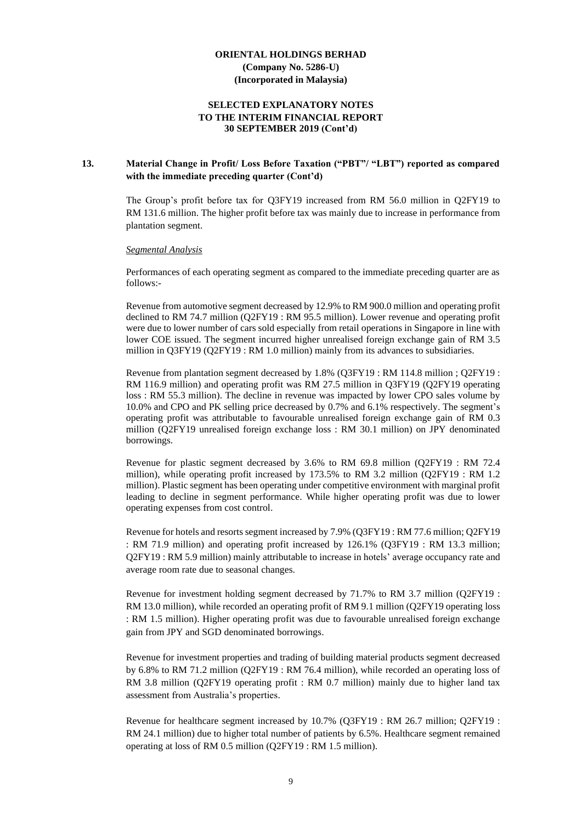### **SELECTED EXPLANATORY NOTES TO THE INTERIM FINANCIAL REPORT 30 SEPTEMBER 2019 (Cont'd)**

### **13. Material Change in Profit/ Loss Before Taxation ("PBT"/ "LBT") reported as compared with the immediate preceding quarter (Cont'd)**

The Group's profit before tax for Q3FY19 increased from RM 56.0 million in Q2FY19 to RM 131.6 million. The higher profit before tax was mainly due to increase in performance from plantation segment.

#### *Segmental Analysis*

Performances of each operating segment as compared to the immediate preceding quarter are as follows:-

Revenue from automotive segment decreased by 12.9% to RM 900.0 million and operating profit declined to RM 74.7 million (Q2FY19 : RM 95.5 million). Lower revenue and operating profit were due to lower number of cars sold especially from retail operations in Singapore in line with lower COE issued. The segment incurred higher unrealised foreign exchange gain of RM 3.5 million in Q3FY19 (Q2FY19 : RM 1.0 million) mainly from its advances to subsidiaries.

Revenue from plantation segment decreased by 1.8% (Q3FY19 : RM 114.8 million ; Q2FY19 : RM 116.9 million) and operating profit was RM 27.5 million in Q3FY19 (Q2FY19 operating loss : RM 55.3 million). The decline in revenue was impacted by lower CPO sales volume by 10.0% and CPO and PK selling price decreased by 0.7% and 6.1% respectively. The segment's operating profit was attributable to favourable unrealised foreign exchange gain of RM 0.3 million (Q2FY19 unrealised foreign exchange loss : RM 30.1 million) on JPY denominated borrowings.

Revenue for plastic segment decreased by 3.6% to RM 69.8 million (Q2FY19 : RM 72.4 million), while operating profit increased by 173.5% to RM 3.2 million (Q2FY19 : RM 1.2 million). Plastic segment has been operating under competitive environment with marginal profit leading to decline in segment performance. While higher operating profit was due to lower operating expenses from cost control.

Revenue for hotels and resorts segment increased by 7.9% (Q3FY19 : RM 77.6 million; Q2FY19 : RM 71.9 million) and operating profit increased by 126.1% (Q3FY19 : RM 13.3 million; Q2FY19 : RM 5.9 million) mainly attributable to increase in hotels' average occupancy rate and average room rate due to seasonal changes.

Revenue for investment holding segment decreased by 71.7% to RM 3.7 million (Q2FY19 : RM 13.0 million), while recorded an operating profit of RM 9.1 million (Q2FY19 operating loss : RM 1.5 million). Higher operating profit was due to favourable unrealised foreign exchange gain from JPY and SGD denominated borrowings.

Revenue for investment properties and trading of building material products segment decreased by 6.8% to RM 71.2 million (Q2FY19 : RM 76.4 million), while recorded an operating loss of RM 3.8 million (Q2FY19 operating profit : RM 0.7 million) mainly due to higher land tax assessment from Australia's properties.

Revenue for healthcare segment increased by 10.7% (Q3FY19 : RM 26.7 million; Q2FY19 : RM 24.1 million) due to higher total number of patients by 6.5%. Healthcare segment remained operating at loss of RM 0.5 million (Q2FY19 : RM 1.5 million).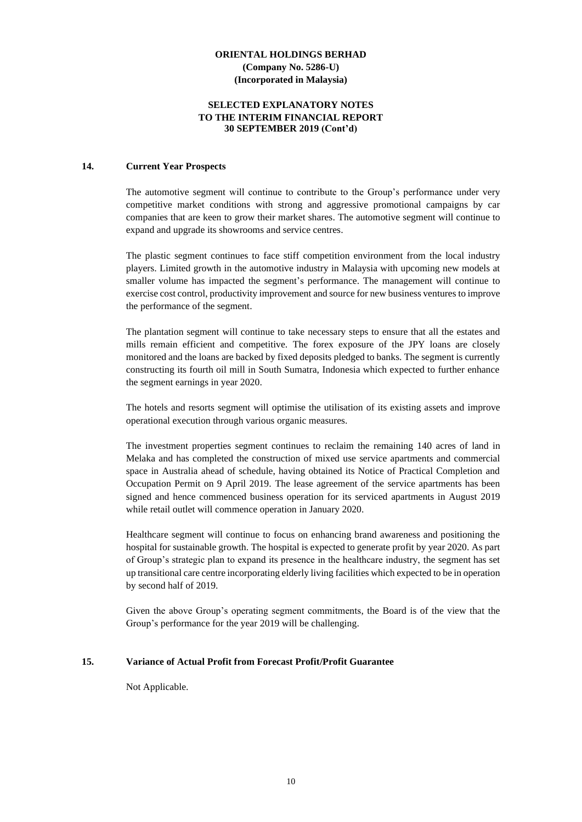### **SELECTED EXPLANATORY NOTES TO THE INTERIM FINANCIAL REPORT 30 SEPTEMBER 2019 (Cont'd)**

#### **14. Current Year Prospects**

The automotive segment will continue to contribute to the Group's performance under very competitive market conditions with strong and aggressive promotional campaigns by car companies that are keen to grow their market shares. The automotive segment will continue to expand and upgrade its showrooms and service centres.

The plastic segment continues to face stiff competition environment from the local industry players. Limited growth in the automotive industry in Malaysia with upcoming new models at smaller volume has impacted the segment's performance. The management will continue to exercise cost control, productivity improvement and source for new business ventures to improve the performance of the segment.

The plantation segment will continue to take necessary steps to ensure that all the estates and mills remain efficient and competitive. The forex exposure of the JPY loans are closely monitored and the loans are backed by fixed deposits pledged to banks. The segment is currently constructing its fourth oil mill in South Sumatra, Indonesia which expected to further enhance the segment earnings in year 2020.

The hotels and resorts segment will optimise the utilisation of its existing assets and improve operational execution through various organic measures.

The investment properties segment continues to reclaim the remaining 140 acres of land in Melaka and has completed the construction of mixed use service apartments and commercial space in Australia ahead of schedule, having obtained its Notice of Practical Completion and Occupation Permit on 9 April 2019. The lease agreement of the service apartments has been signed and hence commenced business operation for its serviced apartments in August 2019 while retail outlet will commence operation in January 2020.

Healthcare segment will continue to focus on enhancing brand awareness and positioning the hospital for sustainable growth. The hospital is expected to generate profit by year 2020. As part of Group's strategic plan to expand its presence in the healthcare industry, the segment has set up transitional care centre incorporating elderly living facilities which expected to be in operation by second half of 2019.

Given the above Group's operating segment commitments, the Board is of the view that the Group's performance for the year 2019 will be challenging.

#### **15. Variance of Actual Profit from Forecast Profit/Profit Guarantee**

Not Applicable.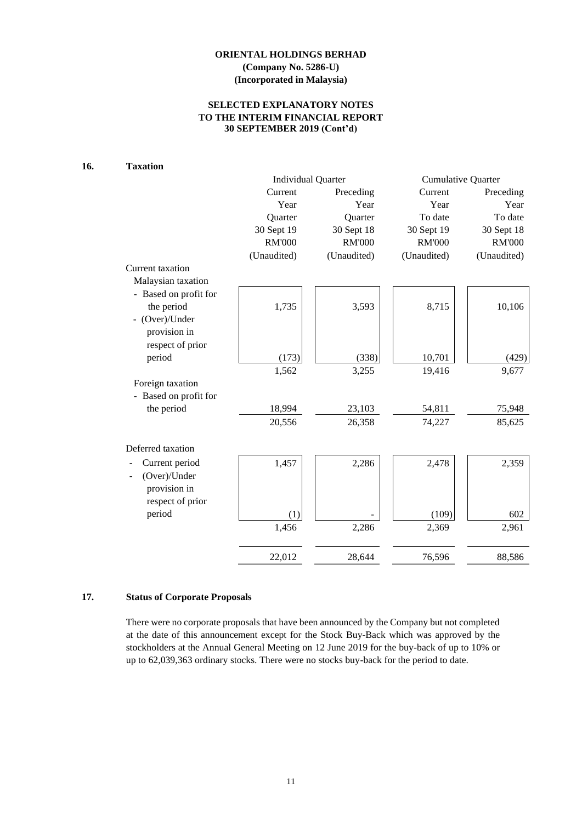### **SELECTED EXPLANATORY NOTES TO THE INTERIM FINANCIAL REPORT 30 SEPTEMBER 2019 (Cont'd)**

# **16. Taxation**

|                       | <b>Individual Quarter</b> |               | <b>Cumulative Quarter</b> |               |  |
|-----------------------|---------------------------|---------------|---------------------------|---------------|--|
|                       | Current                   | Preceding     | Current                   | Preceding     |  |
|                       | Year                      | Year          | Year                      | Year          |  |
|                       | Quarter                   | Quarter       | To date                   | To date       |  |
|                       | 30 Sept 19                | 30 Sept 18    | 30 Sept 19                | 30 Sept 18    |  |
|                       | <b>RM'000</b>             | <b>RM'000</b> | <b>RM'000</b>             | <b>RM'000</b> |  |
|                       | (Unaudited)               | (Unaudited)   | (Unaudited)               | (Unaudited)   |  |
| Current taxation      |                           |               |                           |               |  |
| Malaysian taxation    |                           |               |                           |               |  |
| - Based on profit for |                           |               |                           |               |  |
| the period            | 1,735                     | 3,593         | 8,715                     | 10,106        |  |
| - (Over)/Under        |                           |               |                           |               |  |
| provision in          |                           |               |                           |               |  |
| respect of prior      |                           |               |                           |               |  |
| period                | (173)                     | (338)         | 10,701                    | (429)         |  |
|                       | 1,562                     | 3,255         | 19,416                    | 9,677         |  |
| Foreign taxation      |                           |               |                           |               |  |
| - Based on profit for |                           |               |                           |               |  |
| the period            | 18,994                    | 23,103        | 54,811                    | 75,948        |  |
|                       | 20,556                    | 26,358        | 74,227                    | 85,625        |  |
| Deferred taxation     |                           |               |                           |               |  |
| Current period        | 1,457                     | 2,286         | 2,478                     | 2,359         |  |
| (Over)/Under          |                           |               |                           |               |  |
| provision in          |                           |               |                           |               |  |
| respect of prior      |                           |               |                           |               |  |
| period                | (1)                       |               | (109)                     | 602           |  |
|                       | 1,456                     | 2,286         | 2,369                     | 2,961         |  |
|                       | 22,012                    | 28,644        | 76,596                    | 88,586        |  |
|                       |                           |               |                           |               |  |

# **17. Status of Corporate Proposals**

There were no corporate proposals that have been announced by the Company but not completed at the date of this announcement except for the Stock Buy-Back which was approved by the stockholders at the Annual General Meeting on 12 June 2019 for the buy-back of up to 10% or up to 62,039,363 ordinary stocks. There were no stocks buy-back for the period to date.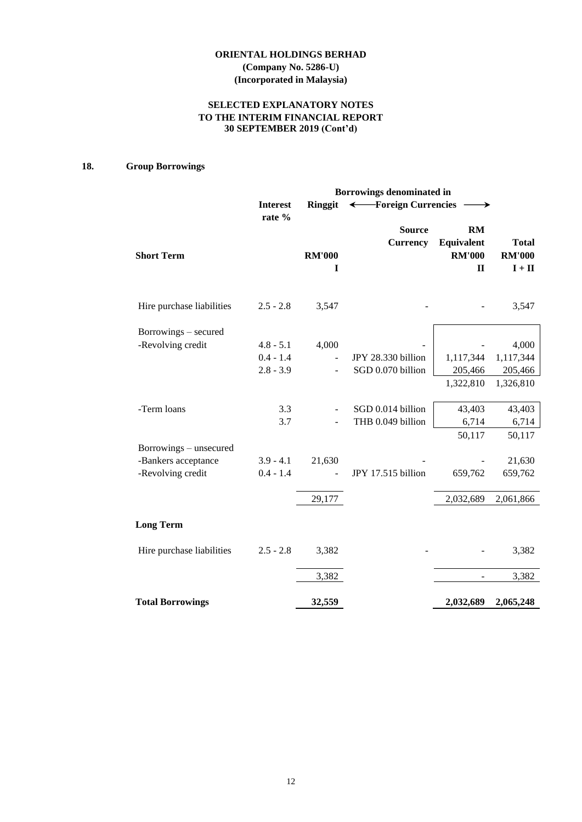### **SELECTED EXPLANATORY NOTES TO THE INTERIM FINANCIAL REPORT 30 SEPTEMBER 2019 (Cont'd)**

# **18. Group Borrowings**

|                           | Borrowings denominated in |                    |                                  |                                                   |                                                           |  |  |  |
|---------------------------|---------------------------|--------------------|----------------------------------|---------------------------------------------------|-----------------------------------------------------------|--|--|--|
|                           | <b>Interest</b><br>rate % | <b>Ringgit</b>     | ← Foreign Currencies             |                                                   |                                                           |  |  |  |
| <b>Short Term</b>         |                           | <b>RM'000</b><br>I | <b>Source</b><br><b>Currency</b> | RM<br>Equivalent<br><b>RM'000</b><br>$\mathbf{I}$ | <b>Total</b><br><b>RM'000</b><br>$\mathbf{I}+\mathbf{II}$ |  |  |  |
| Hire purchase liabilities | $2.5 - 2.8$               | 3,547              |                                  |                                                   | 3,547                                                     |  |  |  |
| Borrowings – secured      |                           |                    |                                  |                                                   |                                                           |  |  |  |
| -Revolving credit         | $4.8 - 5.1$               | 4,000              |                                  |                                                   | 4,000                                                     |  |  |  |
|                           | $0.4 - 1.4$               | $\overline{a}$     | JPY 28.330 billion               | 1,117,344                                         | 1,117,344                                                 |  |  |  |
|                           | $2.8 - 3.9$               |                    | SGD 0.070 billion                | 205,466                                           | 205,466                                                   |  |  |  |
|                           |                           |                    |                                  | 1,322,810                                         | 1,326,810                                                 |  |  |  |
| -Term loans               | 3.3                       |                    | SGD 0.014 billion                | 43,403                                            | 43,403                                                    |  |  |  |
|                           | 3.7                       |                    | THB 0.049 billion                | 6,714                                             | 6,714                                                     |  |  |  |
| Borrowings - unsecured    |                           |                    |                                  | 50,117                                            | 50,117                                                    |  |  |  |
| -Bankers acceptance       | $3.9 - 4.1$               | 21,630             |                                  |                                                   | 21,630                                                    |  |  |  |
| -Revolving credit         | $0.4 - 1.4$               |                    | JPY 17.515 billion               | 659,762                                           | 659,762                                                   |  |  |  |
|                           |                           | 29,177             |                                  | 2,032,689                                         | 2,061,866                                                 |  |  |  |
| <b>Long Term</b>          |                           |                    |                                  |                                                   |                                                           |  |  |  |
| Hire purchase liabilities | $2.5 - 2.8$               | 3,382              |                                  |                                                   | 3,382                                                     |  |  |  |
|                           |                           | 3,382              |                                  |                                                   | 3,382                                                     |  |  |  |
| <b>Total Borrowings</b>   |                           | 32,559             |                                  | 2,032,689                                         | 2,065,248                                                 |  |  |  |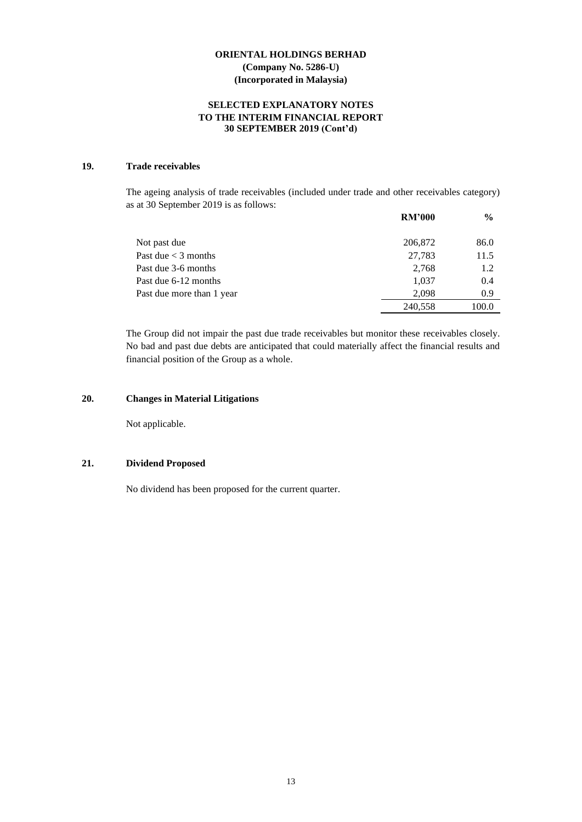### **SELECTED EXPLANATORY NOTES TO THE INTERIM FINANCIAL REPORT 30 SEPTEMBER 2019 (Cont'd)**

### **19. Trade receivables**

The ageing analysis of trade receivables (included under trade and other receivables category) as at 30 September 2019 is as follows:

|                           | <b>RM'000</b> | $\frac{6}{9}$ |
|---------------------------|---------------|---------------|
| Not past due              | 206,872       | 86.0          |
| Past due $<$ 3 months     | 27,783        | 11.5          |
| Past due 3-6 months       | 2,768         | 1.2           |
| Past due 6-12 months      | 1,037         | 0.4           |
| Past due more than 1 year | 2.098         | 0.9           |
|                           | 240,558       | 100.0         |

The Group did not impair the past due trade receivables but monitor these receivables closely. No bad and past due debts are anticipated that could materially affect the financial results and financial position of the Group as a whole.

### **20. Changes in Material Litigations**

Not applicable.

#### **21. Dividend Proposed**

No dividend has been proposed for the current quarter.